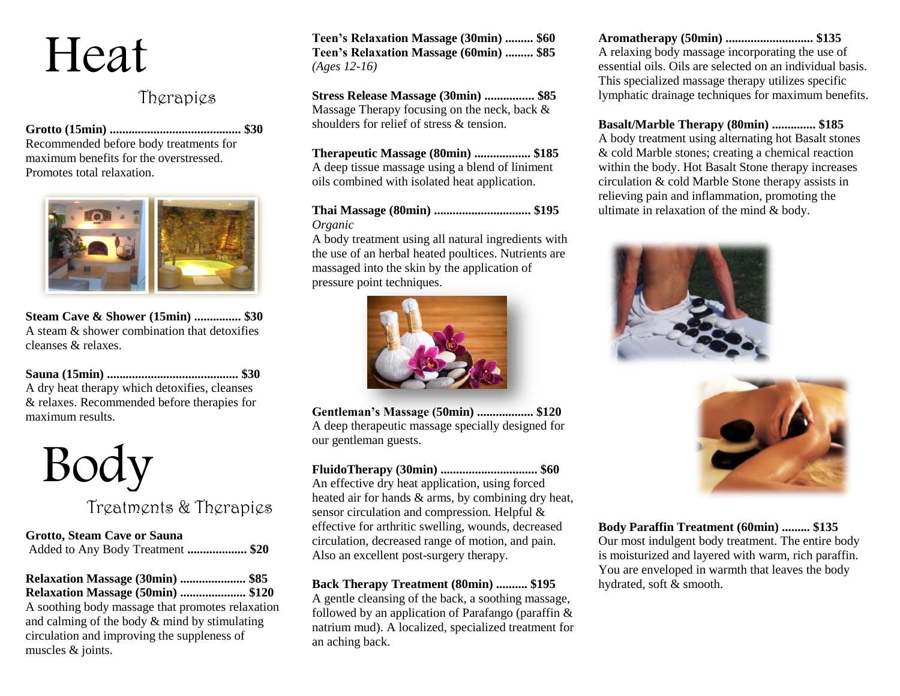# Heat

### Therapies

**Grotto (15min) .......................................... \$30** Recommended before body treatments for

maximum benefits for the overstressed. Promotes total relaxation.



**Steam Cave & Shower (15min) ............... \$30** A steam & shower combination that detoxifies cleanses & relaxes.

**Sauna (15min) .......................................... \$30** A dry heat therapy which detoxifies, cleanses & relaxes. Recommended before therapies for maximum results.



## Treatments & Therapies

**Grotto, Steam Cave or Sauna** Added to Any Body Treatment **................... \$20**

**Relaxation Massage (30min) ..................... \$85 Relaxation Massage (50min) ..................... \$120**

A soothing body massage that promotes relaxation and calming of the body & mind by stimulating circulation and improving the suppleness of muscles & joints.

**Teen's Relaxation Massage (30min) ......... \$60 Teen's Relaxation Massage (60min) ......... \$85** *(Ages 12-16)*

**Stress Release Massage (30min) ................ \$85** Massage Therapy focusing on the neck, back & shoulders for relief of stress & tension.

**Therapeutic Massage (80min) .................. \$185** A deep tissue massage using a blend of liniment oils combined with isolated heat application.

**Thai Massage (80min) ............................... \$195** *Organic*

A body treatment using all natural ingredients with the use of an herbal heated poultices. Nutrients are massaged into the skin by the application of pressure point techniques.



**Gentleman's Massage (50min) .................. \$120** A deep therapeutic massage specially designed for our gentleman guests.

**FluidoTherapy (30min) ............................... \$60** An effective dry heat application, using forced heated air for hands & arms, by combining dry heat, sensor circulation and compression. Helpful & effective for arthritic swelling, wounds, decreased circulation, decreased range of motion, and pain. Also an excellent post-surgery therapy.

#### **Back Therapy Treatment (80min) .......... \$195**

A gentle cleansing of the back, a soothing massage, followed by an application of Parafango (paraffin & natrium mud). A localized, specialized treatment for an aching back.

**Aromatherapy (50min) ............................ \$135** A relaxing body massage incorporating the use of essential oils. Oils are selected on an individual basis. This specialized massage therapy utilizes specific lymphatic drainage techniques for maximum benefits.

**Basalt/Marble Therapy (80min) .............. \$185** A body treatment using alternating hot Basalt stones & cold Marble stones; creating a chemical reaction within the body. Hot Basalt Stone therapy increases circulation & cold Marble Stone therapy assists in relieving pain and inflammation, promoting the ultimate in relaxation of the mind & body.





**Body Paraffin Treatment (60min) ......... \$135** Our most indulgent body treatment. The entire body is moisturized and layered with warm, rich paraffin. You are enveloped in warmth that leaves the body hydrated, soft & smooth.